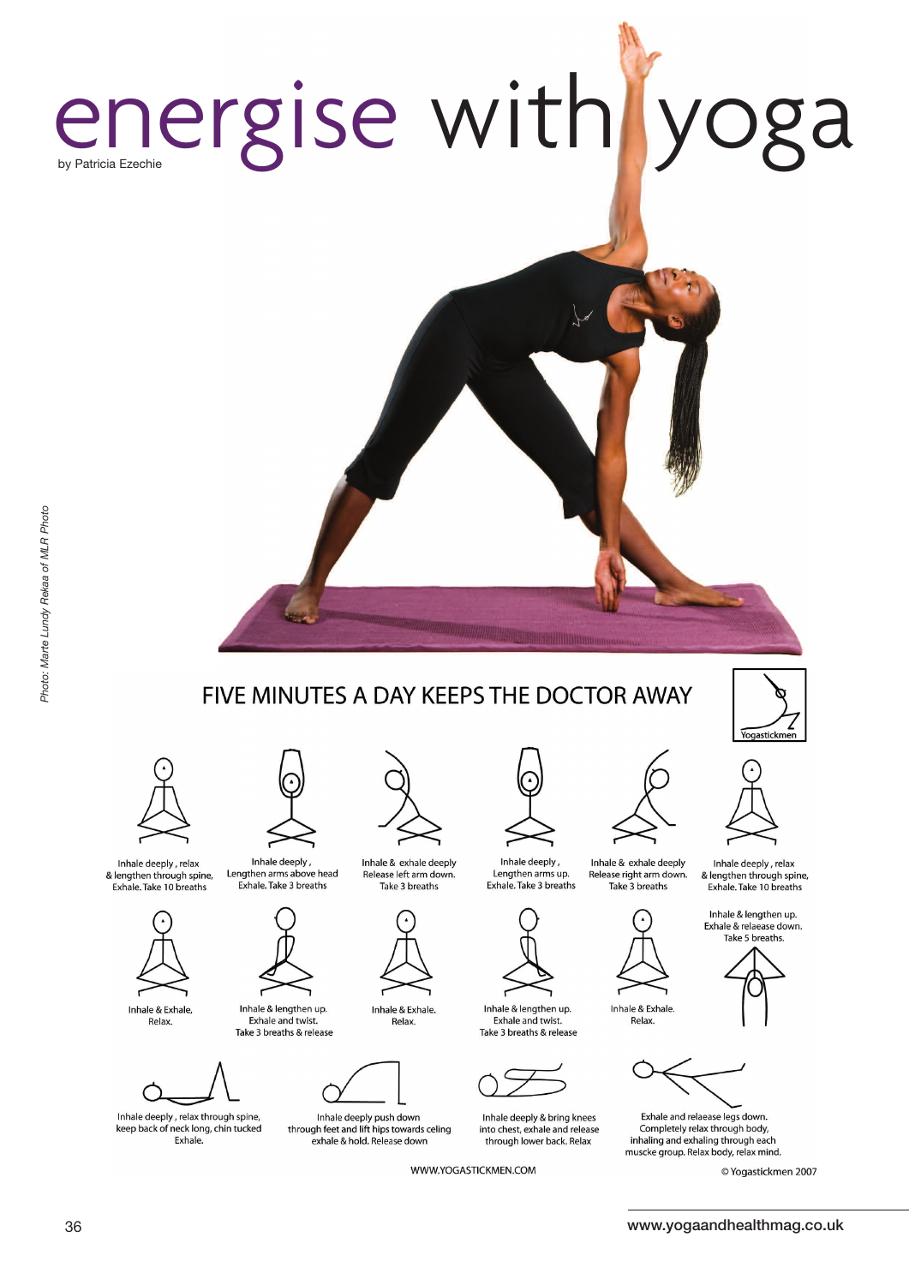## energise with yoga by Patricia Ezechie

# Photo: Marte Lundy Rekaa of MLR Photo

Inhale deeply, relax





Relax.

Inhale & lengthen up. Exhale and twist. Take 3 breaths & release



Inhale deeply, relax through spine, keep back of neck long, chin tucked Exhale.

Inhale deeply,

Inhale & exhale deeply Lengthen arms above head Release left arm down. Exhale. Take 3 breaths Take 3 breaths



Inhale & Exhale Relax.

FIVE MINUTES A DAY KEEPS THE DOCTOR AWAY



Inhale deeply push down through feet and lift hips towards celing exhale & hold. Release down

WWW.YOGASTICKMEN.COM



Exhale. Take 3 breaths



Inhale & lengthen up. Exhale and twist. Take 3 breaths & release



Inhale deeply & bring knees into chest, exhale and release through lower back. Relax



Inhale & exhale deeply Release right arm down. Take 3 breaths



Inhale & Exhale Relax.



Exhale and relaease legs down. Completely relax through body, inhaling and exhaling through each muscke group. Relax body, relax mind.

© Yogastickmen 2007

Yogastickm

Inhale deeply, relax

& lengthen through spine,

Exhale. Take 10 breaths Inhale & lengthen up. Exhale & relaease down. Take 5 breaths.